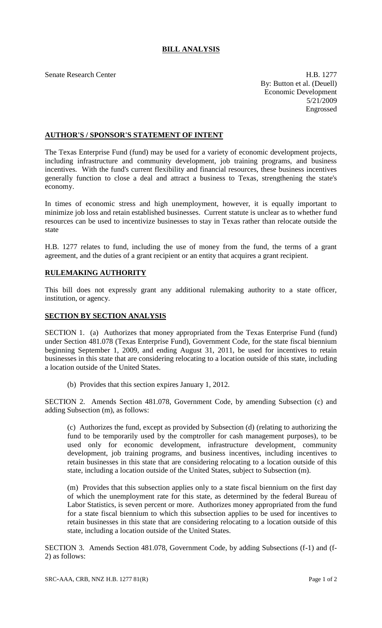## **BILL ANALYSIS**

Senate Research Center **H.B.** 1277 By: Button et al. (Deuell) Economic Development 5/21/2009 Engrossed

## **AUTHOR'S / SPONSOR'S STATEMENT OF INTENT**

The Texas Enterprise Fund (fund) may be used for a variety of economic development projects, including infrastructure and community development, job training programs, and business incentives. With the fund's current flexibility and financial resources, these business incentives generally function to close a deal and attract a business to Texas, strengthening the state's economy.

In times of economic stress and high unemployment, however, it is equally important to minimize job loss and retain established businesses. Current statute is unclear as to whether fund resources can be used to incentivize businesses to stay in Texas rather than relocate outside the state

H.B. 1277 relates to fund, including the use of money from the fund, the terms of a grant agreement, and the duties of a grant recipient or an entity that acquires a grant recipient.

## **RULEMAKING AUTHORITY**

This bill does not expressly grant any additional rulemaking authority to a state officer, institution, or agency.

## **SECTION BY SECTION ANALYSIS**

SECTION 1. (a) Authorizes that money appropriated from the Texas Enterprise Fund (fund) under Section 481.078 (Texas Enterprise Fund), Government Code, for the state fiscal biennium beginning September 1, 2009, and ending August 31, 2011, be used for incentives to retain businesses in this state that are considering relocating to a location outside of this state, including a location outside of the United States.

(b) Provides that this section expires January 1, 2012.

SECTION 2. Amends Section 481.078, Government Code, by amending Subsection (c) and adding Subsection (m), as follows:

(c) Authorizes the fund, except as provided by Subsection (d) (relating to authorizing the fund to be temporarily used by the comptroller for cash management purposes), to be used only for economic development, infrastructure development, community development, job training programs, and business incentives, including incentives to retain businesses in this state that are considering relocating to a location outside of this state, including a location outside of the United States, subject to Subsection (m).

(m) Provides that this subsection applies only to a state fiscal biennium on the first day of which the unemployment rate for this state, as determined by the federal Bureau of Labor Statistics, is seven percent or more. Authorizes money appropriated from the fund for a state fiscal biennium to which this subsection applies to be used for incentives to retain businesses in this state that are considering relocating to a location outside of this state, including a location outside of the United States.

SECTION 3. Amends Section 481.078, Government Code, by adding Subsections (f-1) and (f-2) as follows: